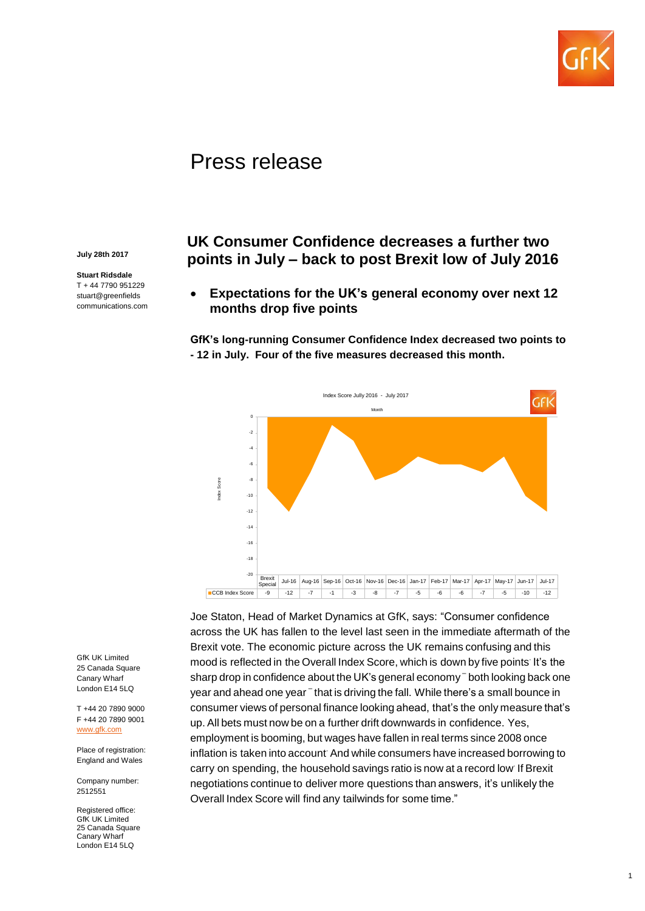

# Press release

**July 28th 2017**

**Stuart Ridsdale** T + 44 7790 951229 stuart@greenfields communications.com

# **UK Consumer Confidence decreases a further two points in July – back to post Brexit low of July 2016**

 **Expectations for the UK's general economy over next 12 months drop five points**

**GfK's long-running Consumer Confidence Index decreased two points to - 12 in July. Four of the five measures decreased this month.**



Joe Staton, Head of Market Dynamics at GfK, says: "Consumer confidence across the UK has fallen to the level last seen in the immediate aftermath of the Brexit vote. The economic picture across the UK remains confusing and this mood is reflected in the Overall Index Score, which is down by five points. It's the sharp drop in confidence about the UK's general economy – both looking back one year and ahead one year  $\bar{\,}$  that is driving the fall. While there's a small bounce in consumer views of personal finance looking ahead, that's the only measure that's up. All bets must now be on a further drift downwards in confidence. Yes, employment is booming, but wages have fallen in real terms since 2008 once inflation is taken into account. And while consumers have increased borrowing to carry on spending, the household savings ratio is now at a record low. If Brexit negotiations continue to deliver more questions than answers, it's unlikely the Overall Index Score will find any tailwinds for some time."

GfK UK Limited 25 Canada Square Canary Wharf London E14 5LQ

T +44 20 7890 9000 F +44 20 7890 9001 [www.gfk.com](http://www.gfk.com/)

Place of registration: England and Wales

Company number: 2512551

Registered office: **GfK UK Limited** 25 Canada Square Canary Wharf London E14 5LQ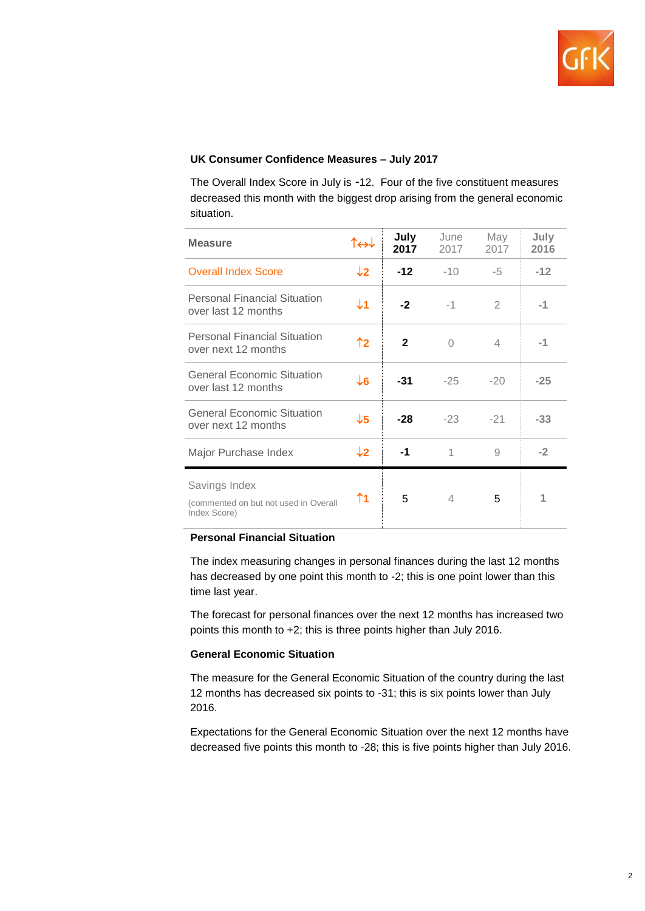

## **UK Consumer Confidence Measures – July 2017**

The Overall Index Score in July is -12. Four of the five constituent measures decreased this month with the biggest drop arising from the general economic situation.

| <b>Measure</b>                                                         | $\uparrow \leftrightarrow \downarrow$ | July<br>2017 | June<br>2017 | May<br>2017    | July<br>2016 |
|------------------------------------------------------------------------|---------------------------------------|--------------|--------------|----------------|--------------|
| <b>Overall Index Score</b>                                             | $\downarrow$ 2                        | $-12$        | $-10$        | -5             | $-12$        |
| <b>Personal Financial Situation</b><br>over last 12 months             | $\downarrow$ 1                        | $-2$         | $-1$         | $\mathfrak{D}$ | -1           |
| <b>Personal Financial Situation</b><br>over next 12 months             | ↑2                                    | $\mathbf{2}$ | $\Omega$     | 4              | -1           |
| <b>General Economic Situation</b><br>over last 12 months               | $\downarrow$ 6                        | $-31$        | $-25$        | $-20$          | $-25$        |
| <b>General Economic Situation</b><br>over next 12 months               | $\downarrow$ 5                        | $-28$        | $-23$        | $-21$          | $-33$        |
| Major Purchase Index                                                   | $\downarrow$ 2                        | $-1$         | 1            | 9              | $-2$         |
| Savings Index<br>(commented on but not used in Overall<br>Index Score) | ↑1                                    | 5            | 4            | 5              |              |

### **Personal Financial Situation**

The index measuring changes in personal finances during the last 12 months has decreased by one point this month to -2; this is one point lower than this time last year.

The forecast for personal finances over the next 12 months has increased two points this month to +2; this is three points higher than July 2016.

#### **General Economic Situation**

The measure for the General Economic Situation of the country during the last 12 months has decreased six points to -31; this is six points lower than July 2016.

Expectations for the General Economic Situation over the next 12 months have decreased five points this month to -28; this is five points higher than July 2016.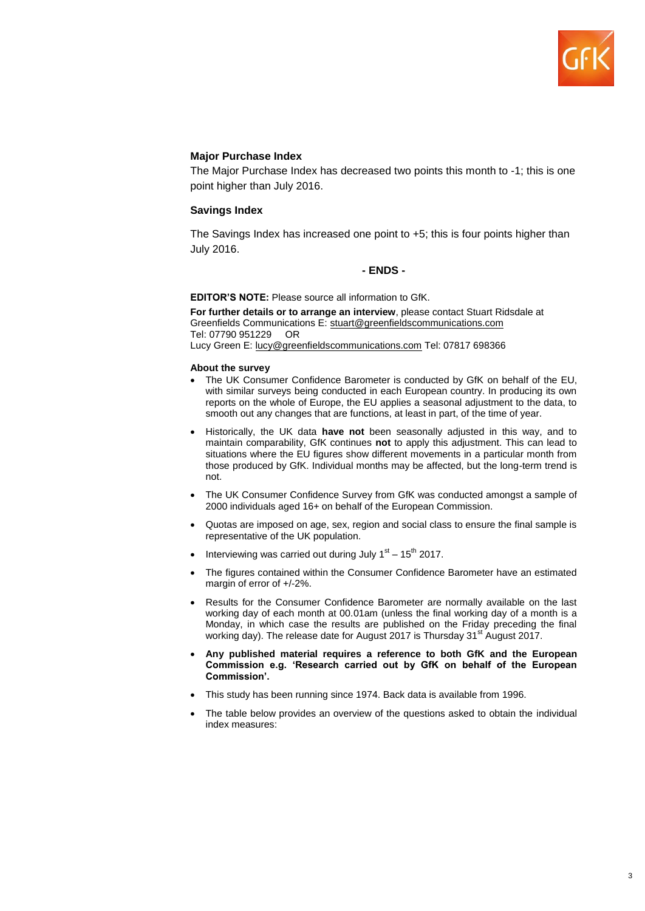

#### **Major Purchase Index**

The Major Purchase Index has decreased two points this month to -1; this is one point higher than July 2016.

#### **Savings Index**

The Savings Index has increased one point to +5; this is four points higher than July 2016.

#### **- ENDS -**

**EDITOR'S NOTE:** Please source all information to GfK.

**For further details or to arrange an interview**, please contact Stuart Ridsdale at Greenfields Communications E: stuart@greenfieldscommunications.com Tel: 07790 951229 OR Lucy Green E: [lucy@greenfieldscommunications.com](mailto:lucy@greenfieldscommunications.com) Tel: 07817 698366

#### **About the survey**

- The UK Consumer Confidence Barometer is conducted by GfK on behalf of the EU, with similar surveys being conducted in each European country. In producing its own reports on the whole of Europe, the EU applies a seasonal adjustment to the data, to smooth out any changes that are functions, at least in part, of the time of year.
- Historically, the UK data **have not** been seasonally adjusted in this way, and to maintain comparability, GfK continues **not** to apply this adjustment. This can lead to situations where the EU figures show different movements in a particular month from those produced by GfK. Individual months may be affected, but the long-term trend is not.
- The UK Consumer Confidence Survey from GfK was conducted amongst a sample of 2000 individuals aged 16+ on behalf of the European Commission.
- Quotas are imposed on age, sex, region and social class to ensure the final sample is representative of the UK population.
- Interviewing was carried out during July  $1<sup>st</sup> 15<sup>th</sup>$  2017.
- The figures contained within the Consumer Confidence Barometer have an estimated margin of error of +/-2%.
- Results for the Consumer Confidence Barometer are normally available on the last working day of each month at 00.01am (unless the final working day of a month is a Monday, in which case the results are published on the Friday preceding the final working day). The release date for August 2017 is Thursday 31<sup>st</sup> August 2017.
- **Any published material requires a reference to both GfK and the European Commission e.g. 'Research carried out by GfK on behalf of the European Commission'.**
- This study has been running since 1974. Back data is available from 1996.
- The table below provides an overview of the questions asked to obtain the individual index measures: